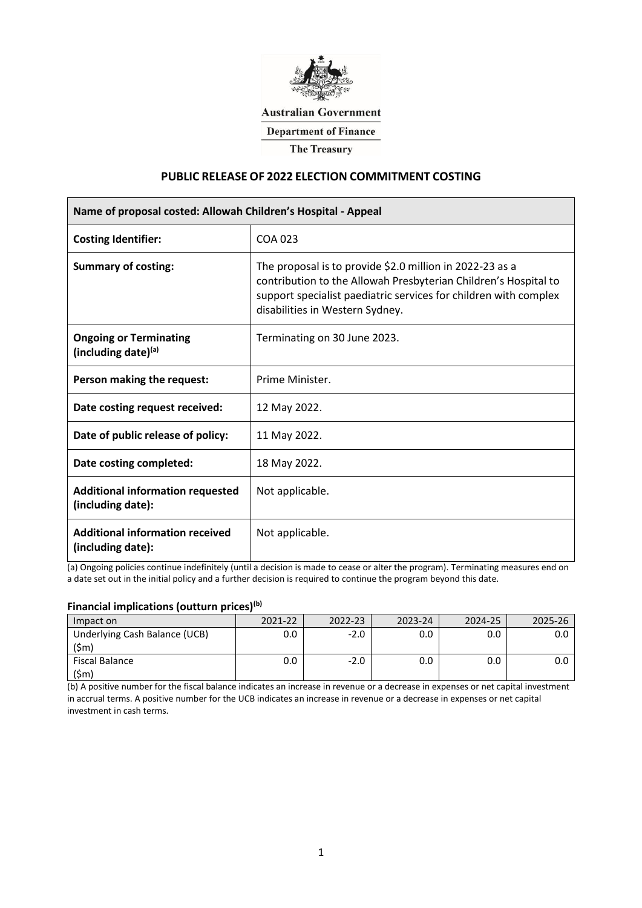

### **Australian Government**

**Department of Finance** 

**The Treasury** 

# **PUBLIC RELEASE OF 2022 ELECTION COMMITMENT COSTING**

| Name of proposal costed: Allowah Children's Hospital - Appeal |                                                                                                                                                                                                                                    |  |  |  |
|---------------------------------------------------------------|------------------------------------------------------------------------------------------------------------------------------------------------------------------------------------------------------------------------------------|--|--|--|
| <b>Costing Identifier:</b>                                    | COA 023                                                                                                                                                                                                                            |  |  |  |
| <b>Summary of costing:</b>                                    | The proposal is to provide \$2.0 million in 2022-23 as a<br>contribution to the Allowah Presbyterian Children's Hospital to<br>support specialist paediatric services for children with complex<br>disabilities in Western Sydney. |  |  |  |
| <b>Ongoing or Terminating</b><br>(including date)(a)          | Terminating on 30 June 2023.                                                                                                                                                                                                       |  |  |  |
| Person making the request:                                    | Prime Minister.                                                                                                                                                                                                                    |  |  |  |
| Date costing request received:                                | 12 May 2022.                                                                                                                                                                                                                       |  |  |  |
| Date of public release of policy:                             | 11 May 2022.                                                                                                                                                                                                                       |  |  |  |
| Date costing completed:                                       | 18 May 2022.                                                                                                                                                                                                                       |  |  |  |
| <b>Additional information requested</b><br>(including date):  | Not applicable.                                                                                                                                                                                                                    |  |  |  |
| <b>Additional information received</b><br>(including date):   | Not applicable.                                                                                                                                                                                                                    |  |  |  |

(a) Ongoing policies continue indefinitely (until a decision is made to cease or alter the program). Terminating measures end on a date set out in the initial policy and a further decision is required to continue the program beyond this date.

# **Financial implications (outturn prices)(b)**

| Impact on                             | 2021-22 | 2022-23 | 2023-24 | 2024-25 | 2025-26 |
|---------------------------------------|---------|---------|---------|---------|---------|
| Underlying Cash Balance (UCB)<br>(5m) |         | $-2.0$  |         |         |         |
| Fiscal Balance<br>(\$m                |         | -20     |         |         |         |

(b) A positive number for the fiscal balance indicates an increase in revenue or a decrease in expenses or net capital investment in accrual terms. A positive number for the UCB indicates an increase in revenue or a decrease in expenses or net capital investment in cash terms.